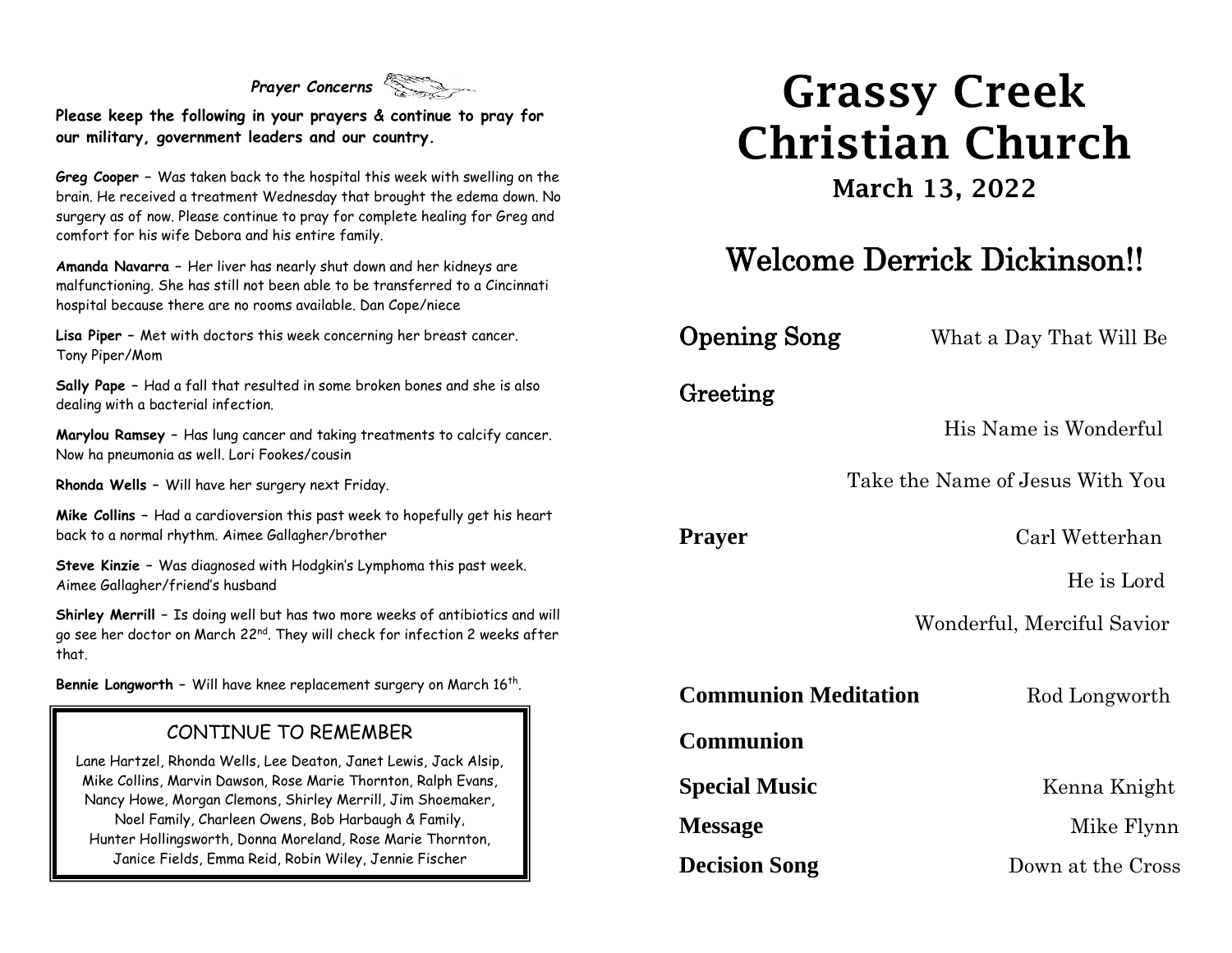*Prayer Concerns*

**Please keep the following in your prayers & continue to pray for our military, government leaders and our country.**

**Greg Cooper –** Was taken back to the hospital this week with swelling on the brain. He received a treatment Wednesday that brought the edema down. No surgery as of now. Please continue to pray for complete healing for Greg and comfort for his wife Debora and his entire family.

**Amanda Navarra –** Her liver has nearly shut down and her kidneys are malfunctioning. She has still not been able to be transferred to a Cincinnati hospital because there are no rooms available. Dan Cope/niece

**Lisa Piper –** Met with doctors this week concerning her breast cancer. Tony Piper/Mom

**Sally Pape –** Had a fall that resulted in some broken bones and she is also dealing with a bacterial infection.

**Marylou Ramsey –** Has lung cancer and taking treatments to calcify cancer. Now ha pneumonia as well. Lori Fookes/cousin

**Rhonda Wells –** Will have her surgery next Friday.

**Mike Collins –** Had a cardioversion this past week to hopefully get his heart back to a normal rhythm. Aimee Gallagher/brother

**Steve Kinzie –** Was diagnosed with Hodgkin's Lymphoma this past week. Aimee Gallagher/friend's husband

**Shirley Merrill –** Is doing well but has two more weeks of antibiotics and will go see her doctor on March 22<sup>nd</sup>. They will check for infection 2 weeks after that.

**Bennie Longworth –** Will have knee replacement surgery on March 16th .

#### CONTINUE TO REMEMBER

Lane Hartzel, Rhonda Wells, Lee Deaton, Janet Lewis, Jack Alsip, Mike Collins, Marvin Dawson, Rose Marie Thornton, Ralph Evans, Nancy Howe, Morgan Clemons, Shirley Merrill, Jim Shoemaker, Noel Family, Charleen Owens, Bob Harbaugh & Family, Hunter Hollingsworth, Donna Moreland, Rose Marie Thornton, Janice Fields, Emma Reid, Robin Wiley, Jennie Fischer

# Grassy Creek Christian Church

March 13, 2022

## Welcome Derrick Dickinson!!

**Opening Song** What a Day That Will Be

Greeting

His Name is Wonderful

Take the Name of Jesus With You

**Prayer** Carl Wetterhan

He is Lord

Wonderful, Merciful Savior

**Communion Meditation** Rod Longworth

**Communion** 

**Special Music** Kenna Knight

**Message** Mike Flynn

**Decision Song** Down at the Cross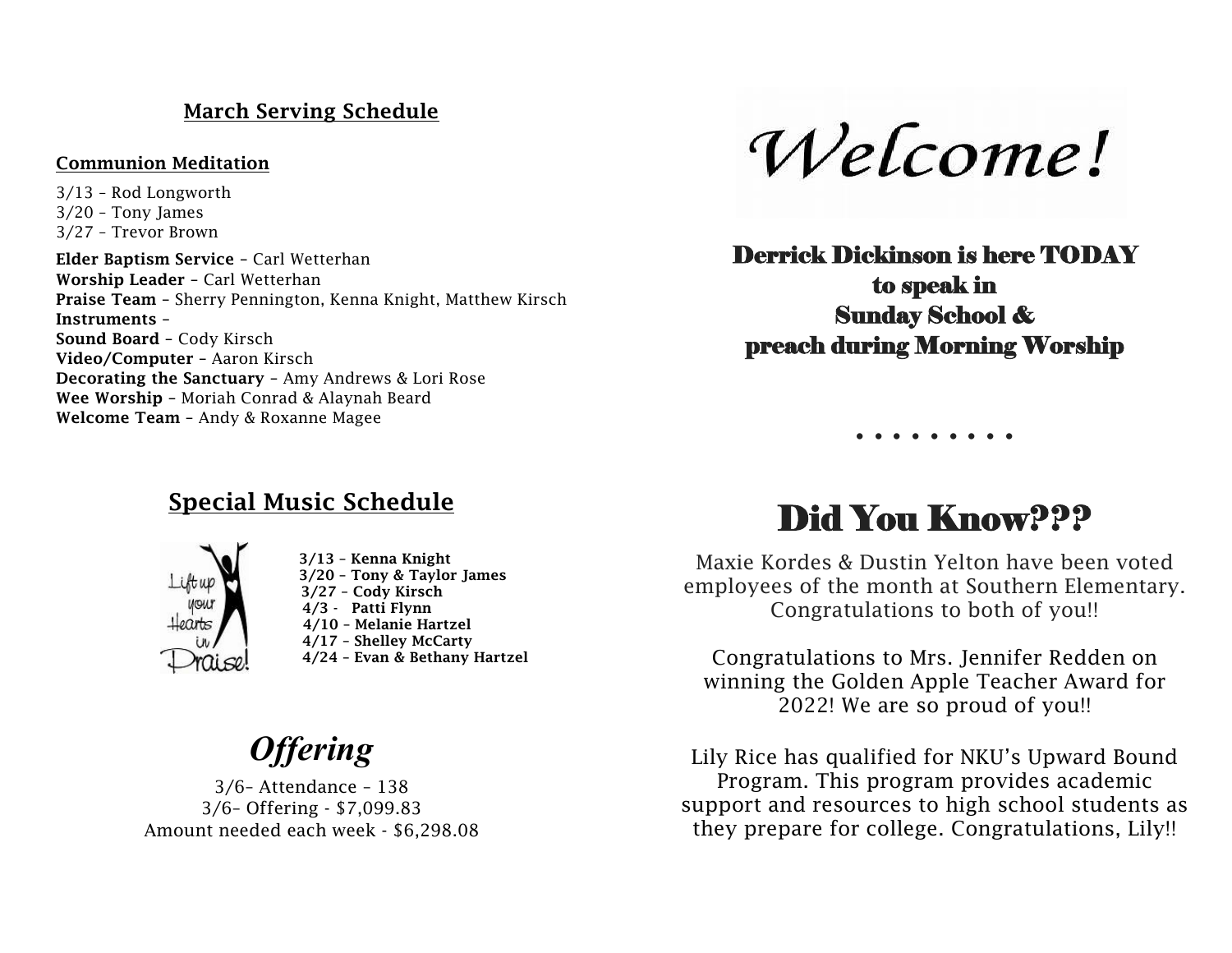### March Serving Schedule

#### Communion Meditation

3/13 – Rod Longworth 3/20 – Tony James 3/27 – Trevor Brown

Elder Baptism Service – Carl Wetterhan Worship Leader – Carl Wetterhan Praise Team – Sherry Pennington, Kenna Knight, Matthew Kirsch Instruments – Sound Board – Cody Kirsch Video/Computer – Aaron Kirsch Decorating the Sanctuary – Amy Andrews & Lori Rose Wee Worship – Moriah Conrad & Alaynah Beard Welcome Team – Andy & Roxanne Magee

Welcome!

Derrick Dickinson is here TODAY to speak in Sunday School & preach during Morning Worship

### Special Music Schedule



3/13 – Kenna Knight 3/20 – Tony & Taylor James 3/27 – Cody Kirsch 4/3 - Patti Flynn 4/10 – Melanie Hartzel 4/17 – Shelley McCarty 4/24 – Evan & Bethany Hartzel

## *Offering*

3/6– Attendance – 138 3/6– Offering - \$7,099.83 Amount needed each week - \$6,298.08

## Did You Know???

**. . . . . . . . .**

Maxie Kordes & Dustin Yelton have been voted employees of the month at Southern Elementary. Congratulations to both of you!!

Congratulations to Mrs. Jennifer Redden on winning the Golden Apple Teacher Award for 2022! We are so proud of you!!

Lily Rice has qualified for NKU's Upward Bound Program. This program provides academic support and resources to high school students as they prepare for college. Congratulations, Lily!!